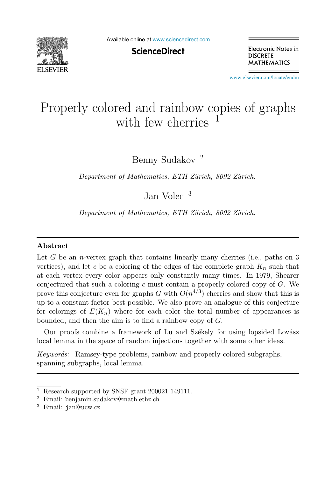

Available online at [www.sciencedirect.com](http://www.sciencedirect.com)

**ScienceDirect** 

Electronic Notes in **DISCRETE MATHEMATICS** 

[www.elsevier.com/locate/endm](http://www.elsevier.com/locate/endm)

# Properly colored and rainbow copies of graphs with few cherries

Benny Sudakov <sup>2</sup>

Department of Mathematics, ETH Zürich, 8092 Zürich.

Jan Volec <sup>3</sup>

Department of Mathematics, ETH Zürich, 8092 Zürich.

### Abstract

Let G be an *n*-vertex graph that contains linearly many cherries (i.e., paths on  $3$ vertices), and let c be a coloring of the edges of the complete graph  $K_n$  such that at each vertex every color appears only constantly many times. In 1979, Shearer conjectured that such a coloring  $c$  must contain a properly colored copy of  $G$ . We prove this conjecture even for graphs G with  $O(n^{4/3})$  cherries and show that this is up to a constant factor best possible. We also prove an analogue of this conjecture for colorings of  $E(K_n)$  where for each color the total number of appearances is bounded, and then the aim is to find a rainbow copy of G.

Our proofs combine a framework of Lu and Székely for using lopsided Lovász local lemma in the space of random injections together with some other ideas.

Keywords: Ramsey-type problems, rainbow and properly colored subgraphs, spanning subgraphs, local lemma.

 $^{\rm 1}$  Research supported by SNSF grant 200021-149111.  $^{\rm 2}$  Email: benjamin.sudakov@math.ethz.ch

<sup>3</sup> Email: jan@ucw.cz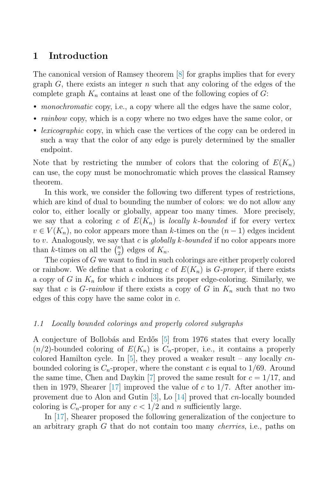# 1 Introduction

The canonical version of Ramsey theorem [\[8\]](#page-6-0) for graphs implies that for every graph  $G$ , there exists an integer n such that any coloring of the edges of the complete graph  $K_n$  contains at least one of the following copies of  $G$ :

- *monochromatic* copy, i.e., a copy where all the edges have the same color,
- *rainbow* copy, which is a copy where no two edges have the same color, or
- *lexicographic* copy, in which case the vertices of the copy can be ordered in such a way that the color of any edge is purely determined by the smaller endpoint.

Note that by restricting the number of colors that the coloring of  $E(K_n)$ can use, the copy must be monochromatic which proves the classical Ramsey theorem.

In this work, we consider the following two different types of restrictions, which are kind of dual to bounding the number of colors: we do not allow any color to, either locally or globally, appear too many times. More precisely, we say that a coloring c of  $E(K_n)$  is locally k-bounded if for every vertex  $v \in V(K_n)$ , no color appears more than k-times on the  $(n-1)$  edges incident to v. Analogously, we say that c is globally k-bounded if no color appears more than k-times on all the  $\binom{n}{2}$  edges of  $K_n$ .

The copies of G we want to find in such colorings are either properly colored or rainbow. We define that a coloring c of  $E(K_n)$  is  $G$ -proper, if there exists a copy of  $G$  in  $K_n$  for which c induces its proper edge-coloring. Similarly, we say that c is G-rainbow if there exists a copy of G in  $K_n$  such that no two edges of this copy have the same color in  $c$ .

#### 1.1 Locally bounded colorings and properly colored subgraphs

A conjecture of Bollobás and Erdős  $|5|$  from 1976 states that every locally  $(n/2)$ -bounded coloring of  $E(K_n)$  is  $C_n$ -proper, i.e., it contains a properly colored Hamilton cycle. In [\[5\]](#page-6-1), they proved a weaker result – any locally  $cn$ bounded coloring is  $C_n$ -proper, where the constant c is equal to  $1/69$ . Around the same time, Chen and Daykin [\[7\]](#page-6-2) proved the same result for  $c = 1/17$ , and then in 1979, Shearer [\[17\]](#page-6-3) improved the value of c to  $1/7$ . After another improvement due to Alon and Gutin  $|3|$ , Lo  $|14|$  proved that cn-locally bounded coloring is  $C_n$ -proper for any  $c < 1/2$  and n sufficiently large.

In [\[17\]](#page-6-3), Shearer proposed the following generalization of the conjecture to an arbitrary graph G that do not contain too many cherries, i.e., paths on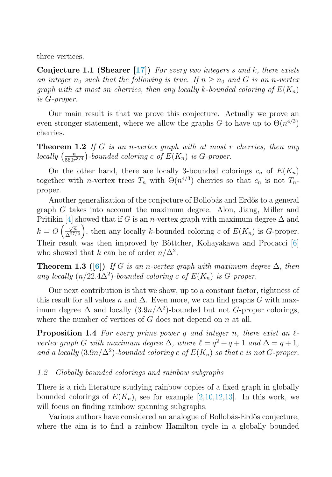<span id="page-2-2"></span>three vertices.

**Conjecture 1.1 (Shearer [\[17\]](#page-6-3))** For every two integers s and k, there exists an integer  $n_0$  such that the following is true. If  $n \geq n_0$  and G is an n-vertex graph with at most sn cherries, then any locally k-bounded coloring of  $E(K_n)$ is G-proper.

Our main result is that we prove this conjecture. Actually we prove an even stronger statement, where we allow the graphs G to have up to  $\Theta(n^{4/3})$ cherries.

<span id="page-2-3"></span>**Theorem 1.2** If G is an n-vertex graph with at most r cherries, then any locally  $\left(\frac{n}{560r^{3/4}}\right)$ -bounded coloring c of  $E(K_n)$  is G-proper.

On the other hand, there are locally 3-bounded colorings  $c_n$  of  $E(K_n)$ together with n-vertex trees  $T_n$  with  $\Theta(n^{4/3})$  cherries so that  $c_n$  is not  $T_n$ proper.

Another generalization of the conjecture of Bollobás and Erdős to a general graph G takes into account the maximum degree. Alon, Jiang, Miller and Pritikin [\[4\]](#page-6-5) showed that if G is an n-vertex graph with maximum degree  $\Delta$  and  $k = O\left(\frac{\sqrt{n}}{\Delta^{27/2}}\right)$ , then any locally k-bounded coloring c of  $E(K_n)$  is G-proper. Their result was then improved by Böttcher, Kohayakawa and Procacci [\[6\]](#page-6-6) who showed that k can be of order  $n/\Delta^2$ .

<span id="page-2-0"></span>**Theorem 1.3** ([\[6\]](#page-6-6)) If G is an n-vertex graph with maximum degree  $\Delta$ , then any locally  $(n/22.4\Delta^2)$ -bounded coloring c of  $E(K_n)$  is G-proper.

Our next contribution is that we show, up to a constant factor, tightness of this result for all values n and  $\Delta$ . Even more, we can find graphs G with maximum degree  $\Delta$  and locally  $(3.9n/\Delta^2)$ -bounded but not G-proper colorings, where the number of vertices of  $G$  does not depend on  $n$  at all.

<span id="page-2-1"></span>**Proposition 1.4** For every prime power q and integer n, there exist an  $\ell$ vertex graph G with maximum degree  $\Delta$ , where  $\ell = q^2 + q + 1$  and  $\Delta = q + 1$ , and a locally  $(3.9n/\Delta^2)$ -bounded coloring c of  $E(K_n)$  so that c is not G-proper.

#### 1.2 Globally bounded colorings and rainbow subgraphs

There is a rich literature studying rainbow copies of a fixed graph in globally bounded colorings of  $E(K_n)$ , see for example [\[2,](#page-5-1)[10](#page-6-7)[,12,](#page-6-8)[13\]](#page-6-9). In this work, we will focus on finding rainbow spanning subgraphs.

Various authors have considered an analogue of Bollobás-Erdős conjecture, where the aim is to find a rainbow Hamilton cycle in a globally bounded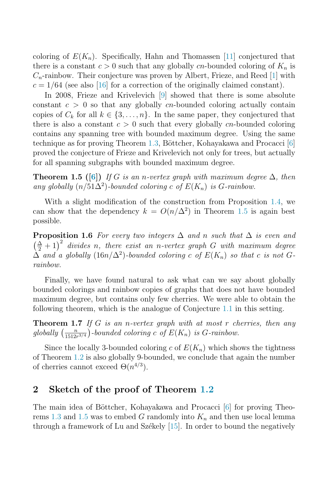coloring of  $E(K_n)$ . Specifically, Hahn and Thomassen [\[11\]](#page-6-10) conjectured that there is a constant  $c > 0$  such that any globally cn-bounded coloring of  $K_n$  is  $C_n$ -rainbow. Their conjecture was proven by Albert, Frieze, and Reed [\[1\]](#page-5-2) with  $c = 1/64$  (see also [\[16\]](#page-6-11) for a correction of the originally claimed constant).

In 2008, Frieze and Krivelevich [\[9\]](#page-6-12) showed that there is some absolute constant  $c > 0$  so that any globally cn-bounded coloring actually contain copies of  $C_k$  for all  $k \in \{3, \ldots, n\}$ . In the same paper, they conjectured that there is also a constant  $c > 0$  such that every globally cn-bounded coloring contains any spanning tree with bounded maximum degree. Using the same technique as for proving Theorem  $1.3$ , Böttcher, Kohayakawa and Procacci [\[6\]](#page-6-6) proved the conjecture of Frieze and Krivelevich not only for trees, but actually for all spanning subgraphs with bounded maximum degree.

<span id="page-3-0"></span>**Theorem 1.5** ([\[6\]](#page-6-6)) If G is an n-vertex graph with maximum degree  $\Delta$ , then any globally  $(n/51\Delta^2)$ -bounded coloring c of  $E(K_n)$  is G-rainbow.

With a slight modification of the construction from Proposition [1.4,](#page-2-1) we can show that the dependency  $k = O(n/\Delta^2)$  in Theorem [1.5](#page-3-0) is again best possible.

**Proposition 1.6** For every two integers  $\Delta$  and n such that  $\Delta$  is even and  $\left(\frac{\Delta}{2}+1\right)^2$  divides n, there exist an n-vertex graph G with maximum degree  $\Delta$  and a globally (16n/ $\Delta^2$ )-bounded coloring c of  $E(K_n)$  so that c is not Grainbow.

Finally, we have found natural to ask what can we say about globally bounded colorings and rainbow copies of graphs that does not have bounded maximum degree, but contains only few cherries. We were able to obtain the following theorem, which is the analogue of Conjecture [1.1](#page-2-2) in this setting.

**Theorem 1.7** If G is an n-vertex graph with at most r cherries, then any globally  $\left(\frac{n}{1512r^{3/4}}\right)$ -bounded coloring c of  $E(K_n)$  is G-rainbow.

Since the locally 3-bounded coloring c of  $E(K_n)$  which shows the tightness of Theorem [1.2](#page-2-3) is also globally 9-bounded, we conclude that again the number of cherries cannot exceed  $\Theta(n^{4/3})$ .

## 2 Sketch of the proof of Theorem [1.2](#page-2-3)

The main idea of Böttcher, Kohayakawa and Procacci [\[6\]](#page-6-6) for proving Theo-rems [1.3](#page-2-0) and [1.5](#page-3-0) was to embed G randomly into  $K_n$  and then use local lemma through a framework of Lu and Székely  $[15]$ . In order to bound the negatively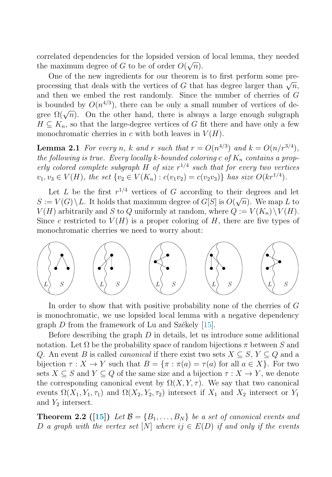correlated dependencies for the lopsided version of local lemma, they needed the maximum degree of G to be of order  $O(\sqrt{n})$ .

One of the new ingredients for our theorem is to first perform some preprocessing that deals with the vertices of G that has degree larger than  $\sqrt{n}$ , and then we embed the rest randomly. Since the number of cherries of G is bounded by  $O(n^{4/3})$ , there can be only a small number of vertices of degree  $\Omega(\sqrt{n})$ . On the other hand, there is always a large enough subgraph  $H \subseteq K_n$ , so that the large-degree vertices of G fit there and have only a few monochromatic cherries in c with both leaves in  $V(H)$ .

**Lemma 2.1** For every n, k and r such that  $r = O(n^{4/3})$  and  $k = O(n/r^{3/4})$ , the following is true. Every locally k-bounded coloring c of  $K_n$  contains a properly colored complete subgraph H of size  $r^{1/4}$  such that for every two vertices  $v_1, v_3 \in V(H)$ , the set  $\{v_2 \in V(K_n) : c(v_1v_2) = c(v_2v_3)\}\$  has size  $O(kr^{1/4})$ .

Let L be the first  $r^{1/4}$  vertices of G according to their degrees and let  $S := V(G) \setminus L$ . It holds that maximum degree of  $G[S]$  is  $O(\sqrt{n})$ . We map L to  $V(H)$  arbitrarily and S to Q uniformly at random, where  $Q := V(K_n) \setminus V(H)$ . Since c restricted to  $V(H)$  is a proper coloring of H, there are five types of monochromatic cherries we need to worry about:



In order to show that with positive probability none of the cherries of G is monochromatic, we use lopsided local lemma with a negative dependency graph  $D$  from the framework of Lu and Székely [\[15\]](#page-6-13).

Before describing the graph  $D$  in details, let us introduce some additional notation. Let  $\Omega$  be the probability space of random bijections  $\pi$  between S and Q. An event B is called *canonical* if there exist two sets  $X \subseteq S$ ,  $Y \subseteq Q$  and a bijection  $\tau : X \to Y$  such that  $B = {\tau : \pi(a) = \tau(a)$  for all  $a \in X}$ . For two sets  $X \subseteq S$  and  $Y \subseteq Q$  of the same size and a bijection  $\tau : X \to Y$ , we denote the corresponding canonical event by  $\Omega(X, Y, \tau)$ . We say that two canonical events  $\Omega(X_1, Y_1, \tau_1)$  and  $\Omega(X_2, Y_2, \tau_2)$  intersect if  $X_1$  and  $X_2$  intersect or  $Y_1$ and  $Y_2$  intersect.

**Theorem 2.2** ([\[15\]](#page-6-13)) Let  $\mathcal{B} = \{B_1, \ldots, B_N\}$  be a set of canonical events and D a graph with the vertex set [N] where  $ij \in E(D)$  if and only if the events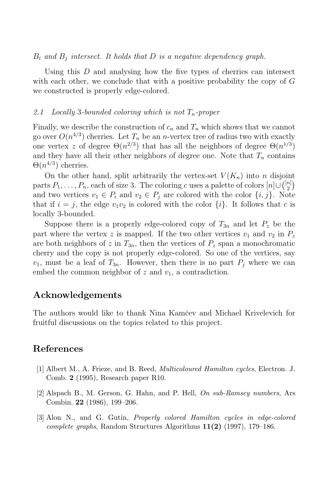$B_i$  and  $B_j$  intersect. It holds that D is a negative dependency graph.

Using this  $D$  and analysing how the five types of cherries can intersect with each other, we conclude that with a positive probability the copy of  $G$ we constructed is properly edge-colored.

## 2.1 Locally 3-bounded coloring which is not  $T_n$ -proper

Finally, we describe the construction of  $c_n$  and  $T_n$  which shows that we cannot go over  $O(n^{4/3})$  cherries. Let  $T_n$  be an *n*-vertex tree of radius two with exactly one vertex z of degree  $\Theta(n^{2/3})$  that has all the neighbors of degree  $\Theta(n^{1/3})$ and they have all their other neighbors of degree one. Note that  $T_n$  contains  $\Theta(n^{4/3})$  cherries.

On the other hand, split arbitrarily the vertex-set  $V(K_n)$  into n disjoint parts  $P_1, \ldots, P_n$ , each of size 3. The coloring c uses a palette of colors  $[n] \cup \binom{[n]}{2}$ and two vertices  $v_1 \in P_i$  and  $v_2 \in P_j$  are colored with the color  $\{i, j\}$ . Note that if  $i = j$ , the edge  $v_1v_2$  is colored with the color  $\{i\}$ . It follows that c is locally 3-bounded.

Suppose there is a properly edge-colored copy of  $T_{3n}$  and let  $P_z$  be the part where the vertex z is mapped. If the two other vertices  $v_1$  and  $v_2$  in  $P_z$ are both neighbors of z in  $T_{3n}$ , then the vertices of  $P_z$  span a monochromatic cherry and the copy is not properly edge-colored. So one of the vertices, say  $v_1$ , must be a leaf of  $T_{3n}$ . However, then there is no part  $P_i$  where we can embed the common neighbor of  $z$  and  $v_1$ , a contradiction.

# Acknowledgements

The authors would like to thank Nina Kamˇcev and Michael Krivelevich for fruitful discussions on the topics related to this project.

## References

- <span id="page-5-2"></span>[1] Albert M., A. Frieze, and B. Reed, Multicoloured Hamilton cycles, Electron. J. Comb. 2 (1995), Research paper R10.
- <span id="page-5-1"></span>[2] Alspach B., M. Gerson, G. Hahn, and P. Hell, On sub-Ramsey numbers, Ars Combin. 22 (1986), 199–206.
- <span id="page-5-0"></span>[3] Alon N., and G. Gutin, Properly colored Hamilton cycles in edge-colored *complete graphs*, Random Structures Algorithms  $11(2)$  (1997), 179–186.